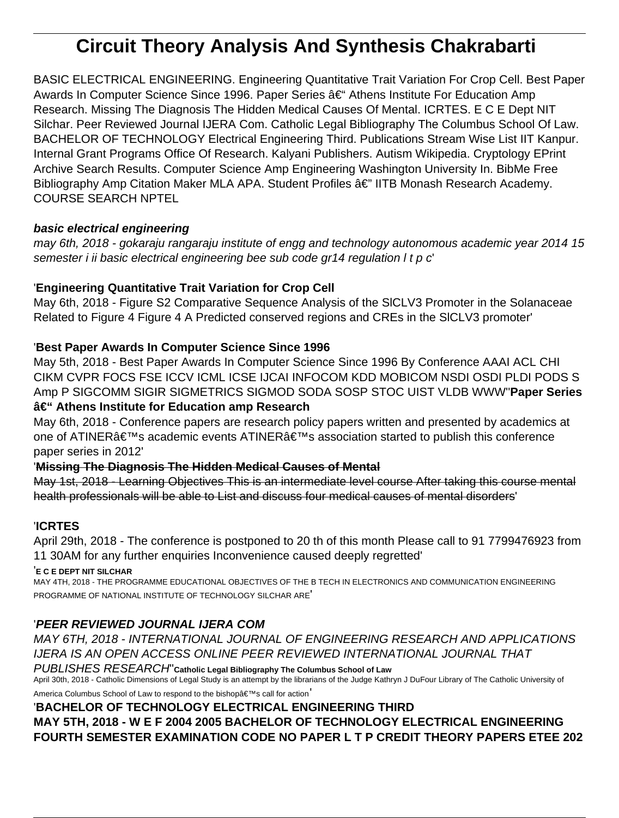# **Circuit Theory Analysis And Synthesis Chakrabarti**

BASIC ELECTRICAL ENGINEERING. Engineering Quantitative Trait Variation For Crop Cell. Best Paper Awards In Computer Science Since 1996. Paper Series – Athens Institute For Education Amp Research. Missing The Diagnosis The Hidden Medical Causes Of Mental. ICRTES. E C E Dept NIT Silchar. Peer Reviewed Journal IJERA Com. Catholic Legal Bibliography The Columbus School Of Law. BACHELOR OF TECHNOLOGY Electrical Engineering Third. Publications Stream Wise List IIT Kanpur. Internal Grant Programs Office Of Research. Kalyani Publishers. Autism Wikipedia. Cryptology EPrint Archive Search Results. Computer Science Amp Engineering Washington University In. BibMe Free Bibliography Amp Citation Maker MLA APA. Student Profiles â€" IITB Monash Research Academy. COURSE SEARCH NPTEL

# **basic electrical engineering**

may 6th, 2018 - gokaraju rangaraju institute of engg and technology autonomous academic year 2014 15 semester i ii basic electrical engineering bee sub code gr14 regulation I t p c'

# '**Engineering Quantitative Trait Variation for Crop Cell**

May 6th, 2018 - Figure S2 Comparative Sequence Analysis of the SlCLV3 Promoter in the Solanaceae Related to Figure 4 Figure 4 A Predicted conserved regions and CREs in the SlCLV3 promoter'

# '**Best Paper Awards In Computer Science Since 1996**

May 5th, 2018 - Best Paper Awards In Computer Science Since 1996 By Conference AAAI ACL CHI CIKM CVPR FOCS FSE ICCV ICML ICSE IJCAI INFOCOM KDD MOBICOM NSDI OSDI PLDI PODS S Amp P SIGCOMM SIGIR SIGMETRICS SIGMOD SODA SOSP STOC UIST VLDB WWW''**Paper Series – Athens Institute for Education amp Research**

May 6th, 2018 - Conference papers are research policy papers written and presented by academics at one of ATINER's academic events ATINER's association started to publish this conference paper series in 2012'

## '**Missing The Diagnosis The Hidden Medical Causes of Mental**

May 1st, 2018 - Learning Objectives This is an intermediate level course After taking this course mental health professionals will be able to List and discuss four medical causes of mental disorders'

## '**ICRTES**

April 29th, 2018 - The conference is postponed to 20 th of this month Please call to 91 7799476923 from 11 30AM for any further enquiries Inconvenience caused deeply regretted'

## '**E C E DEPT NIT SILCHAR**

MAY 4TH, 2018 - THE PROGRAMME EDUCATIONAL OBJECTIVES OF THE B TECH IN ELECTRONICS AND COMMUNICATION ENGINEERING PROGRAMME OF NATIONAL INSTITUTE OF TECHNOLOGY SILCHAR ARE'

# '**PEER REVIEWED JOURNAL IJERA COM**

MAY 6TH, 2018 - INTERNATIONAL JOURNAL OF ENGINEERING RESEARCH AND APPLICATIONS IJERA IS AN OPEN ACCESS ONLINE PEER REVIEWED INTERNATIONAL JOURNAL THAT

PUBLISHES RESEARCH''**Catholic Legal Bibliography The Columbus School of Law** April 30th, 2018 - Catholic Dimensions of Legal Study is an attempt by the librarians of the Judge Kathryn J DuFour Library of The Catholic University of America Columbus School of Law to respond to the bishop $\hat{a} \in T^M$ s call for action

'**BACHELOR OF TECHNOLOGY ELECTRICAL ENGINEERING THIRD MAY 5TH, 2018 - W E F 2004 2005 BACHELOR OF TECHNOLOGY ELECTRICAL ENGINEERING FOURTH SEMESTER EXAMINATION CODE NO PAPER L T P CREDIT THEORY PAPERS ETEE 202**